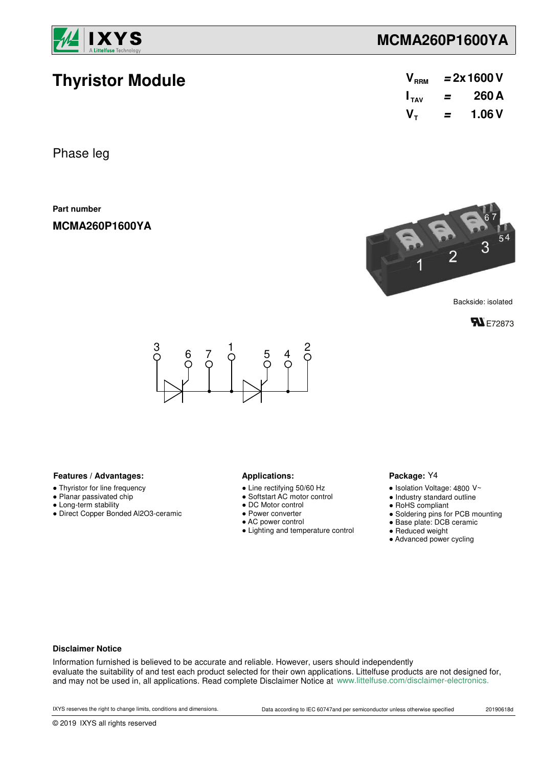

**Thyristor Module**

## **MCMA260P1600YA**

| V <sub>RRM</sub> | $= 2x 1600 V$ |        |  |  |
|------------------|---------------|--------|--|--|
| $I_{TAV}$        | =             | 260 A  |  |  |
| $V_{\tau}$       | =             | 1.06 V |  |  |

Phase leg

**Part number**

**MCMA260P1600YA**



**FN** E72873



### Features / Advantages: **All Applications: Applications:**

- Thyristor for line frequency
- Planar passivated chip
- Long-term stability
- Direct Copper Bonded Al2O3-ceramic

- Line rectifying 50/60 Hz
- Softstart AC motor control
- DC Motor control
- Power converter
- AC power control
- Lighting and temperature control

### Package: Y4

- $\bullet$  Isolation Voltage: 4800 V~
- Industry standard outline
- RoHS compliant
- Soldering pins for PCB mounting
- Base plate: DCB ceramic
- Reduced weight
- Advanced power cycling

### **Disclaimer Notice**

Information furnished is believed to be accurate and reliable. However, users should independently evaluate the suitability of and test each product selected for their own applications. Littelfuse products are not designed for, and may not be used in, all applications. Read complete Disclaimer Notice at www.littelfuse.com/disclaimer-electronics.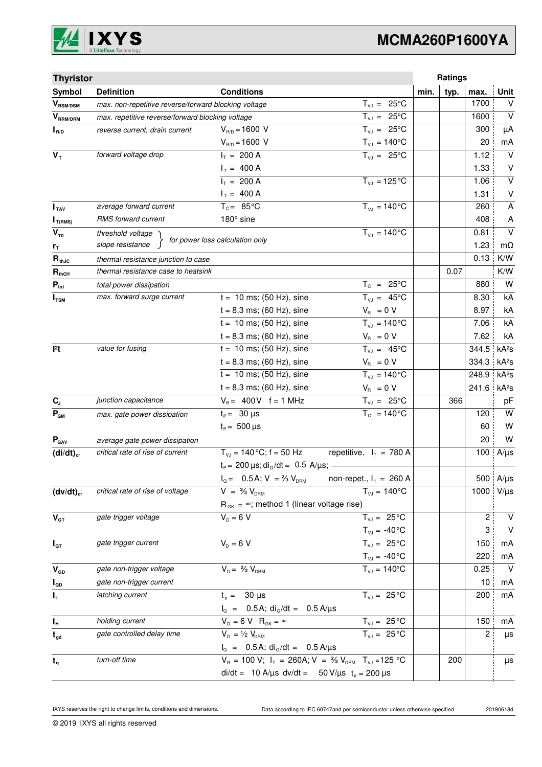

| <b>Thyristor</b>           |                                                      |                                                                                   |                                     |              | Ratings        |                   |
|----------------------------|------------------------------------------------------|-----------------------------------------------------------------------------------|-------------------------------------|--------------|----------------|-------------------|
| Symbol                     | <b>Definition</b>                                    | <b>Conditions</b>                                                                 |                                     | min.<br>typ. | max.           | Unit              |
| $\bm{V}_{\text{RSM/DSM}}$  | max. non-repetitive reverse/forward blocking voltage |                                                                                   | $T_{VJ} = 25^{\circ}C$              |              | 1700           | V                 |
| $\bm{V}_{\text{RRM/DRM}}$  | max. repetitive reverse/forward blocking voltage     |                                                                                   | $T_{\nu J} = 25^{\circ}C$           |              | 1600           | $\vee$            |
| $I_{R/D}$                  | reverse current, drain current                       | $V_{R/D} = 1600 V$                                                                | $T_{VJ} = 25^{\circ}C$              |              | 300            | μA                |
|                            |                                                      | $V_{R/D} = 1600 V$                                                                | $T_{\nu J} = 140^{\circ}C$          |              | 20             | mA                |
| $V_T$                      | forward voltage drop                                 | $I_T = 200 A$                                                                     | $T_{VJ} = 25^{\circ}C$              |              | 1.12           | $\vee$            |
|                            |                                                      | $I_T = 400 A$                                                                     |                                     |              | 1.33           | V                 |
|                            |                                                      | $I_T = 200 A$                                                                     | $T_{VJ} = 125$ °C                   |              | 1.06           | $\vee$            |
|                            |                                                      | $I_T = 400 A$                                                                     |                                     |              | 1.31           | V                 |
| I <sub>TAV</sub>           | average forward current                              | $T_c = 85^{\circ}$ C                                                              | $T_{V1} = 140^{\circ}C$             |              | 260            | A                 |
| $I_{T(RMS)}$               | RMS forward current                                  | 180° sine                                                                         |                                     |              | 408            | A                 |
| $V_{\tau_0}$               | threshold voltage                                    | for power loss calculation only                                                   | $T_{V,I} = 140^{\circ}C$            |              | 0.81           | $\vee$            |
| r <sub>T</sub>             | slope resistance                                     |                                                                                   |                                     |              | 1.23           | $m\Omega$         |
| $\mathbf{R}_{\text{thJC}}$ | thermal resistance junction to case                  |                                                                                   |                                     |              | 0.13           | K/W               |
| $R_{thCH}$                 | thermal resistance case to heatsink                  |                                                                                   |                                     | 0.07         |                | K/W               |
| $P_{\text{tot}}$           | total power dissipation                              |                                                                                   | $T_c = 25^{\circ}C$                 |              | 880            | W                 |
| $I_{TSM}$                  | max. forward surge current                           | $t = 10$ ms; (50 Hz), sine                                                        | $T_{VJ} = 45^{\circ}C$              |              | 8.30           | kA                |
|                            |                                                      | $t = 8,3$ ms; (60 Hz), sine                                                       | $V_{\rm R} = 0 V$                   |              | 8.97           | kA                |
|                            |                                                      | $t = 10$ ms; (50 Hz), sine                                                        | $\overline{T}_{v,i} = 140^{\circ}C$ |              | 7.06           | kA                |
|                            |                                                      | $t = 8,3$ ms; (60 Hz), sine                                                       | $V_{B} = 0 V$                       |              | 7.62           | kA                |
| 12t                        | value for fusing                                     | $t = 10$ ms; (50 Hz), sine                                                        | $T_{VJ} = 45^{\circ}C$              |              | 344.5          | kA <sup>2</sup> S |
|                            |                                                      | $t = 8,3$ ms; (60 Hz), sine                                                       | $V_{\rm R} = 0 V$                   |              | 334.3          | kA <sup>2</sup> S |
|                            |                                                      | $t = 10$ ms; (50 Hz), sine                                                        | $T_{VJ} = 140^{\circ}C$             |              | 248.9          | kA <sup>2</sup> S |
|                            |                                                      | $t = 8,3$ ms; (60 Hz), sine                                                       | $V_{\rm R} = 0 V$                   |              | 241.6          | kA <sup>2</sup> s |
| $\mathbf{C}_\text{J}$      | junction capacitance                                 | $V_B = 400V$ f = 1 MHz                                                            | $T_{VJ} = 25^{\circ}C$              | 366          |                | pF                |
| $P_{GM}$                   | max. gate power dissipation                          | $t_P = 30 \mu s$                                                                  | $T_c = 140^{\circ}$ C               |              | 120            | W                 |
|                            |                                                      | $t_{\rm p} = 500 \,\mu s$                                                         |                                     |              | 60             | W                 |
| $P_{\text{GAV}}$           | average gate power dissipation                       |                                                                                   |                                     |              | 20             | W                 |
| $(di/dt)_{cr}$             | critical rate of rise of current                     | $T_{V,1} = 140 \degree C$ ; f = 50 Hz repetitive, $I_T = 780 \text{ A}$           |                                     |              | 100            | $A/\mu s$         |
|                            |                                                      | $t_P$ = 200 $\mu$ s; di <sub>G</sub> /dt = 0.5 A/ $\mu$ s; -                      |                                     |              |                |                   |
|                            |                                                      | $I_G = 0.5A; V = \frac{2}{3}V_{DRM}$ non-repet., $I_T = 260 A$                    |                                     |              |                | 500 $A/\mu s$     |
| $(dv/dt)_{cr}$             | critical rate of rise of voltage                     | $V = \frac{2}{3} V_{DBM}$                                                         | $T_{VJ} = 140^{\circ}C$             |              |                | 1000 V/µs         |
|                            |                                                      | $R_{GK} = \infty$ ; method 1 (linear voltage rise)                                |                                     |              |                |                   |
| $V_{GT}$                   | gate trigger voltage                                 | $V_p = 6 V$                                                                       | $T_{VJ} = 25^{\circ}C$              |              | $\overline{c}$ | V                 |
|                            |                                                      |                                                                                   | $T_{VJ} = -40$ °C                   |              | 3              | $\vee$            |
| $I_{GT}$                   | gate trigger current                                 | $V_{D} = 6 V$                                                                     | $T_{VJ} = 25^{\circ}C$              |              | 150            | mA                |
|                            |                                                      |                                                                                   | $T_{\text{VJ}} = -40^{\circ}C$      |              | 220            | mA                |
| $V_{GD}$                   | gate non-trigger voltage                             | $V_{D} = \frac{2}{3} V_{DBM}$                                                     | $T_{VJ} = 140^{\circ}$ C            |              | 0.25           | $\vee$            |
| $I_{GD}$                   | gate non-trigger current                             |                                                                                   |                                     |              | 10             | mA                |
| $\mathbf{l}_\mathsf{L}$    | latching current                                     | $t_{p} = 30 \mu s$                                                                | $T_{VJ} = 25^{\circ}C$              |              | 200            | mA                |
|                            |                                                      | $I_G$ = 0.5 A; di <sub>G</sub> /dt = 0.5 A/ $\mu$ s                               |                                     |              |                |                   |
| $I_{\rm H}$                | holding current                                      | $V_{D} = 6 V R_{GK} = \infty$                                                     | $T_{VJ} = 25\overline{°C}$          |              | 150            | mA                |
| $t_{gd}$                   | gate controlled delay time                           | $V_{D} = \frac{1}{2} V_{DRM}$                                                     | $T_{VJ} = 25^{\circ}$ C             |              | 2              | $\mu s$           |
|                            |                                                      | $I_G = 0.5A$ ; di <sub>G</sub> /dt = 0.5 A/µs                                     |                                     |              |                |                   |
| $t_{q}$                    | turn-off time                                        | $V_R = 100 V$ ; $I_T = 260A$ ; $V = \frac{2}{3} V_{DRM}$ T <sub>VJ</sub> = 125 °C |                                     | 200          |                | μs                |
|                            |                                                      | di/dt = 10 A/µs dv/dt = 50 V/µs $t_p = 200 \mu s$                                 |                                     |              |                |                   |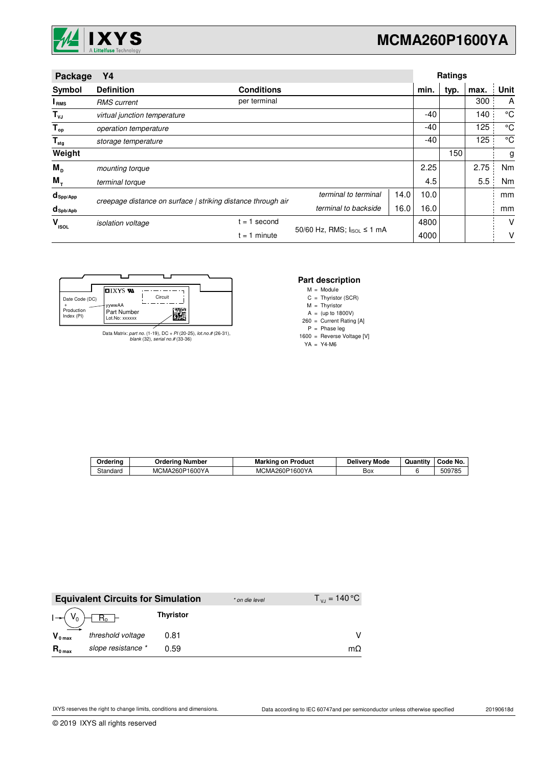

| Package                         | Υ4                           |                                                              |                                           |      |       | <b>Ratings</b> |      |      |
|---------------------------------|------------------------------|--------------------------------------------------------------|-------------------------------------------|------|-------|----------------|------|------|
| Symbol                          | <b>Definition</b>            | <b>Conditions</b>                                            |                                           |      | min.  | typ.           | max. | Unit |
| I <sub>RMS</sub>                | <b>RMS</b> current           | per terminal                                                 |                                           |      |       |                | 300  | A    |
| $T_{\nu J}$                     | virtual junction temperature |                                                              |                                           |      | $-40$ |                | 140  | °C   |
| $T_{op}$                        | operation temperature        |                                                              |                                           |      | $-40$ |                | 125  | °C   |
| $\mathsf{T}_{\mathsf{stg}}$     | storage temperature          |                                                              |                                           |      | $-40$ |                | 125  | °C   |
| Weight                          |                              |                                                              |                                           |      |       | 150            |      | g    |
| $M_{\text{D}}$                  | mounting torque              |                                                              |                                           |      | 2.25  |                | 2.75 | Nm   |
| $M_{T}$                         | terminal torque              |                                                              |                                           |      | 4.5   |                | 5.5  | Nm   |
| $d_{\mathsf{Spp/App}}$          |                              | creepage distance on surface   striking distance through air | terminal to terminal                      | 14.0 | 10.0  |                |      | mm   |
| $d_{\mathsf{Spb}/\mathsf{Apb}}$ |                              |                                                              | terminal to backside                      | 16.0 | 16.0  |                |      | mm   |
| v<br><b>ISOL</b>                | isolation voltage            | $= 1$ second                                                 |                                           |      | 4800  |                |      | V    |
|                                 | $= 1$ minute                 |                                                              | 50/60 Hz, RMS; $ _{\text{ISOL}} \le 1$ mA |      | 4000  |                |      | ٧    |

|                          |                                  |         | Par |
|--------------------------|----------------------------------|---------|-----|
|                          | $\blacksquare$ ixys $\mathbf{w}$ |         | M   |
| Date Code (DC)           |                                  | Circuit | C   |
|                          | yywwAA                           |         | M   |
| Production<br>Index (PI) | Part Number                      | unus n  | A   |
|                          | Lot.No: xxxxxx                   | Æ       | 260 |

Data Matrix: part no. (1-19), DC + PI (20-25), lot.no.# (26-31), blank (32), serial no.# (33-36)

# **Part description**<br>  $M = \text{Module}$

M = Module

Thyristor (SCR) =

M Thyristor =

A 260 (up to 1800V) = Current Rating [A] =

P Phase leg =

1600 Reverse Voltage [V] =

YA Y4-M6 =

| Orderina | Ordering Number | <b>Marking on Product</b> | Deliverv Mode | $\cdots$<br>Quantity | Code No. |
|----------|-----------------|---------------------------|---------------|----------------------|----------|
| Standard | MCMA260P1600YA  | MCMA260P1600YA            | Box           |                      | 509785   |

|                     | <b>Equivalent Circuits for Simulation</b> |                  | * on die level | $T_{\text{VJ}}$ = 140 °C |
|---------------------|-------------------------------------------|------------------|----------------|--------------------------|
|                     |                                           | <b>Thyristor</b> |                |                          |
| $V_{0 \text{ max}}$ | threshold voltage                         | 0.81             |                | v                        |
| $R_{0 \text{ max}}$ | slope resistance *                        | 0.59             |                | $m\Omega$                |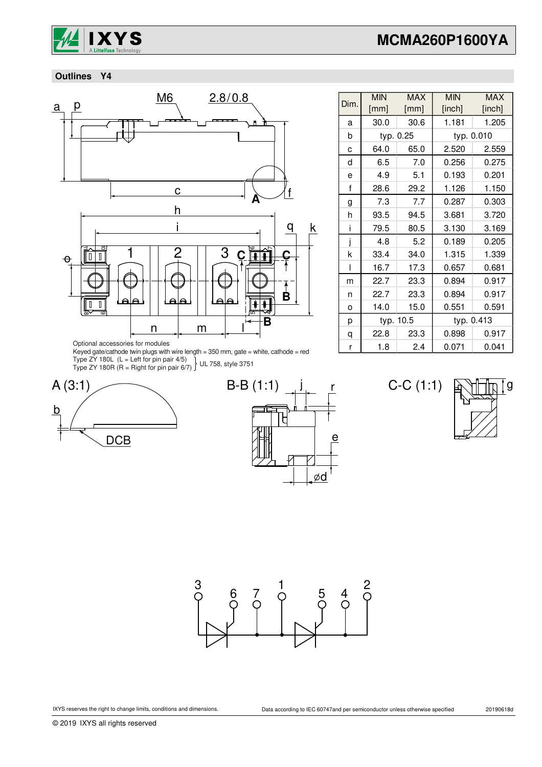

 **Outlines Y4**



Dim. MIN [mm] MAX [mm] MIN [inch] MAX [inch] a 30.0 30.6 1.181 1.205 b c 64.0 65.0 2.520 2.559 d 6.5 7.0 0.256 0.275 e 4.9 5.1 0.193 0.201 f | 28.6 | 29.2 | 1.126 | 1.150  $g$  7.3 7.7 0.287 0.303 h | 93.5 | 94.5 | 3.681 | 3.720 i | 79.5 | 80.5 | 3.130 | 3.169 j 4.8 5.2 0.189 0.205 k 33.4 34.0 1.315 1.339 l 16.7 17.3 0.657 0.681 m | 22.7 | 23.3 | 0.894 | 0.917 n 22.7 23.3 0.894 0.917 o 14.0 15.0 0.551 0.591 p q 22.8 23.3 0.898 0.917 r | 1.8 | 2.4 | 0.071 | 0.041 typ. 0.25 | typ. 0.010 typ. 10.5 typ. 0.413

Optional accessories for modules

Keyed gate/cathode twin plugs with wire length = 350 mm, gate = white, cathode = red Type ZY 180L (L = Left for pin pair 4/5) Type ZY 180R (R = Right for pin pair 6/7) UL 758, style 3751